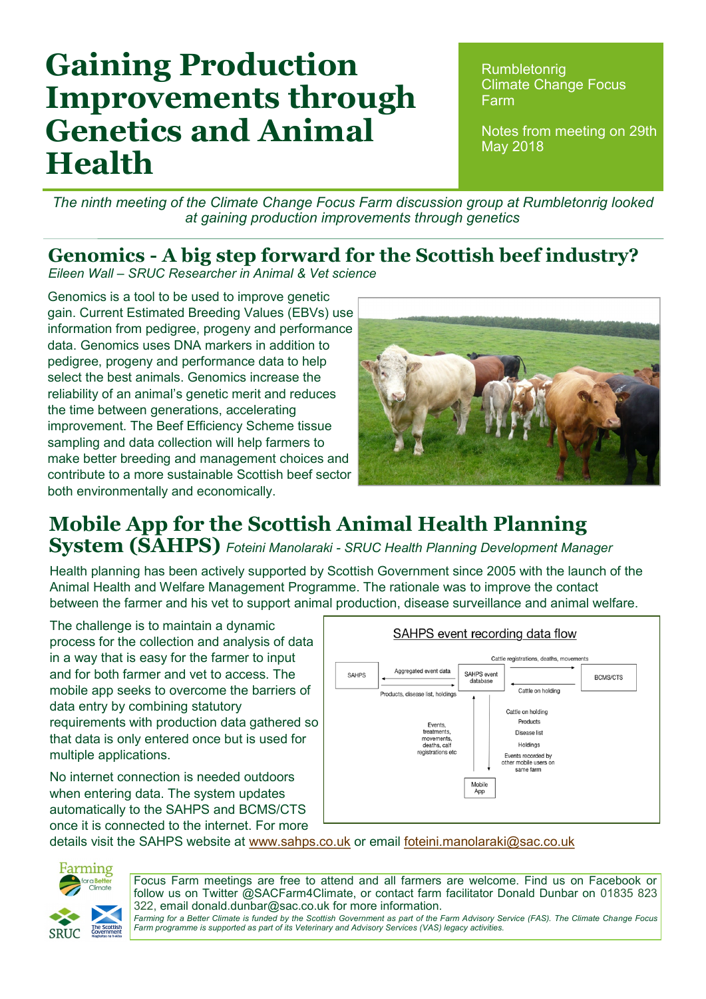# **Gaining Production Improvements through Genetics and Animal Health**

**Rumbletonrig** Climate Change Focus Farm

Notes from meeting on 29th May 2018

*The ninth meeting of the Climate Change Focus Farm discussion group at Rumbletonrig looked at gaining production improvements through genetics* 

#### **Genomics - A big step forward for the Scottish beef industry?**

*Eileen Wall – SRUC Researcher in Animal & Vet science*

Genomics is a tool to be used to improve genetic gain. Current Estimated Breeding Values (EBVs) use information from pedigree, progeny and performance data. Genomics uses DNA markers in addition to pedigree, progeny and performance data to help select the best animals. Genomics increase the reliability of an animal's genetic merit and reduces the time between generations, accelerating improvement. The Beef Efficiency Scheme tissue sampling and data collection will help farmers to make better breeding and management choices and contribute to a more sustainable Scottish beef sector both environmentally and economically.



#### **Mobile App for the Scottish Animal Health Planning System (SAHPS)** *Foteini Manolaraki - SRUC Health Planning Development Manager*

Health planning has been actively supported by Scottish Government since 2005 with the launch of the Animal Health and Welfare Management Programme. The rationale was to improve the contact between the farmer and his vet to support animal production, disease surveillance and animal welfare.

The challenge is to maintain a dynamic process for the collection and analysis of data in a way that is easy for the farmer to input and for both farmer and vet to access. The mobile app seeks to overcome the barriers of data entry by combining statutory requirements with production data gathered so that data is only entered once but is used for multiple applications.

No internet connection is needed outdoors when entering data. The system updates automatically to the SAHPS and BCMS/CTS once it is connected to the internet. For more



details visit the SAHPS website at [www.sahps.co.uk](http://www.sahps.co.uk) or email [foteini.manolaraki@sac.co.uk](mailto:foteini.manolaraki@sac.co.uk)



Focus Farm meetings are free to attend and all farmers are welcome. Find us on Facebook or follow us on Twitter @SACFarm4Climate, or contact farm facilitator Donald Dunbar on 01835 823 322, email donald.dunbar@sac.co.uk for more information.

*Farming for a Better Climate is funded by the Scottish Government as part of the Farm Advisory Service (FAS). The Climate Change Focus Farm programme is supported as part of its Veterinary and Advisory Services (VAS) legacy activities.*